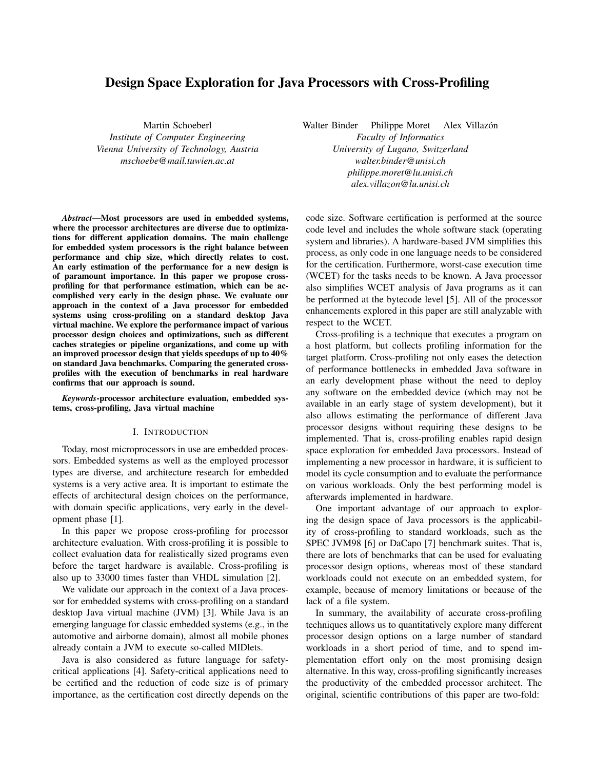# Design Space Exploration for Java Processors with Cross-Profiling

Martin Schoeberl *Institute of Computer Engineering Vienna University of Technology, Austria mschoebe@mail.tuwien.ac.at*

*Abstract*—Most processors are used in embedded systems, where the processor architectures are diverse due to optimizations for different application domains. The main challenge for embedded system processors is the right balance between performance and chip size, which directly relates to cost. An early estimation of the performance for a new design is of paramount importance. In this paper we propose crossprofiling for that performance estimation, which can be accomplished very early in the design phase. We evaluate our approach in the context of a Java processor for embedded systems using cross-profiling on a standard desktop Java virtual machine. We explore the performance impact of various processor design choices and optimizations, such as different caches strategies or pipeline organizations, and come up with an improved processor design that yields speedups of up to 40% on standard Java benchmarks. Comparing the generated crossprofiles with the execution of benchmarks in real hardware confirms that our approach is sound.

*Keywords*-processor architecture evaluation, embedded systems, cross-profiling, Java virtual machine

#### I. INTRODUCTION

Today, most microprocessors in use are embedded processors. Embedded systems as well as the employed processor types are diverse, and architecture research for embedded systems is a very active area. It is important to estimate the effects of architectural design choices on the performance, with domain specific applications, very early in the development phase [1].

In this paper we propose cross-profiling for processor architecture evaluation. With cross-profiling it is possible to collect evaluation data for realistically sized programs even before the target hardware is available. Cross-profiling is also up to 33000 times faster than VHDL simulation [2].

We validate our approach in the context of a Java processor for embedded systems with cross-profiling on a standard desktop Java virtual machine (JVM) [3]. While Java is an emerging language for classic embedded systems (e.g., in the automotive and airborne domain), almost all mobile phones already contain a JVM to execute so-called MIDlets.

Java is also considered as future language for safetycritical applications [4]. Safety-critical applications need to be certified and the reduction of code size is of primary importance, as the certification cost directly depends on the Walter Binder Philippe Moret Alex Villazón *Faculty of Informatics University of Lugano, Switzerland walter.binder@unisi.ch philippe.moret@lu.unisi.ch alex.villazon@lu.unisi.ch*

code size. Software certification is performed at the source code level and includes the whole software stack (operating system and libraries). A hardware-based JVM simplifies this process, as only code in one language needs to be considered for the certification. Furthermore, worst-case execution time (WCET) for the tasks needs to be known. A Java processor also simplifies WCET analysis of Java programs as it can be performed at the bytecode level [5]. All of the processor enhancements explored in this paper are still analyzable with respect to the WCET.

Cross-profiling is a technique that executes a program on a host platform, but collects profiling information for the target platform. Cross-profiling not only eases the detection of performance bottlenecks in embedded Java software in an early development phase without the need to deploy any software on the embedded device (which may not be available in an early stage of system development), but it also allows estimating the performance of different Java processor designs without requiring these designs to be implemented. That is, cross-profiling enables rapid design space exploration for embedded Java processors. Instead of implementing a new processor in hardware, it is sufficient to model its cycle consumption and to evaluate the performance on various workloads. Only the best performing model is afterwards implemented in hardware.

One important advantage of our approach to exploring the design space of Java processors is the applicability of cross-profiling to standard workloads, such as the SPEC JVM98 [6] or DaCapo [7] benchmark suites. That is, there are lots of benchmarks that can be used for evaluating processor design options, whereas most of these standard workloads could not execute on an embedded system, for example, because of memory limitations or because of the lack of a file system.

In summary, the availability of accurate cross-profiling techniques allows us to quantitatively explore many different processor design options on a large number of standard workloads in a short period of time, and to spend implementation effort only on the most promising design alternative. In this way, cross-profiling significantly increases the productivity of the embedded processor architect. The original, scientific contributions of this paper are two-fold: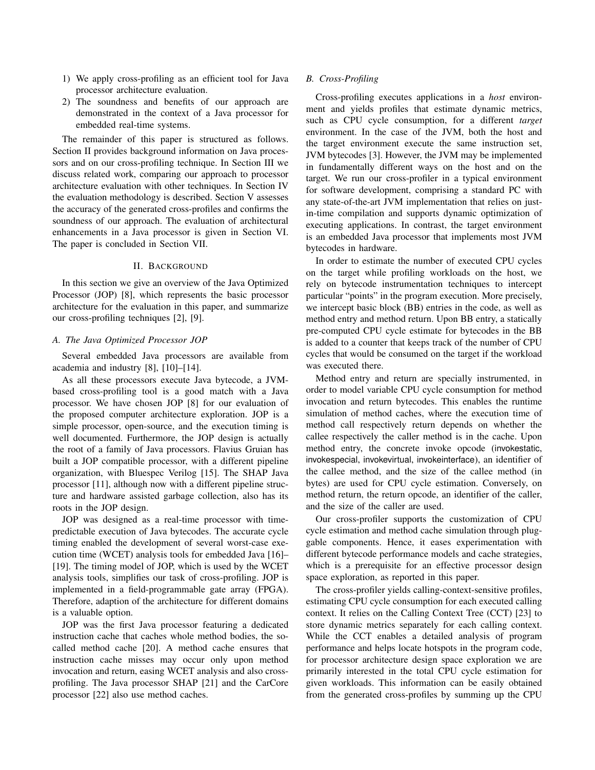- 1) We apply cross-profiling as an efficient tool for Java processor architecture evaluation.
- 2) The soundness and benefits of our approach are demonstrated in the context of a Java processor for embedded real-time systems.

The remainder of this paper is structured as follows. Section II provides background information on Java processors and on our cross-profiling technique. In Section III we discuss related work, comparing our approach to processor architecture evaluation with other techniques. In Section IV the evaluation methodology is described. Section V assesses the accuracy of the generated cross-profiles and confirms the soundness of our approach. The evaluation of architectural enhancements in a Java processor is given in Section VI. The paper is concluded in Section VII.

#### II. BACKGROUND

In this section we give an overview of the Java Optimized Processor (JOP) [8], which represents the basic processor architecture for the evaluation in this paper, and summarize our cross-profiling techniques [2], [9].

#### *A. The Java Optimized Processor JOP*

Several embedded Java processors are available from academia and industry [8], [10]–[14].

As all these processors execute Java bytecode, a JVMbased cross-profiling tool is a good match with a Java processor. We have chosen JOP [8] for our evaluation of the proposed computer architecture exploration. JOP is a simple processor, open-source, and the execution timing is well documented. Furthermore, the JOP design is actually the root of a family of Java processors. Flavius Gruian has built a JOP compatible processor, with a different pipeline organization, with Bluespec Verilog [15]. The SHAP Java processor [11], although now with a different pipeline structure and hardware assisted garbage collection, also has its roots in the JOP design.

JOP was designed as a real-time processor with timepredictable execution of Java bytecodes. The accurate cycle timing enabled the development of several worst-case execution time (WCET) analysis tools for embedded Java [16]– [19]. The timing model of JOP, which is used by the WCET analysis tools, simplifies our task of cross-profiling. JOP is implemented in a field-programmable gate array (FPGA). Therefore, adaption of the architecture for different domains is a valuable option.

JOP was the first Java processor featuring a dedicated instruction cache that caches whole method bodies, the socalled method cache [20]. A method cache ensures that instruction cache misses may occur only upon method invocation and return, easing WCET analysis and also crossprofiling. The Java processor SHAP [21] and the CarCore processor [22] also use method caches.

## *B. Cross-Profiling*

Cross-profiling executes applications in a *host* environment and yields profiles that estimate dynamic metrics, such as CPU cycle consumption, for a different *target* environment. In the case of the JVM, both the host and the target environment execute the same instruction set, JVM bytecodes [3]. However, the JVM may be implemented in fundamentally different ways on the host and on the target. We run our cross-profiler in a typical environment for software development, comprising a standard PC with any state-of-the-art JVM implementation that relies on justin-time compilation and supports dynamic optimization of executing applications. In contrast, the target environment is an embedded Java processor that implements most JVM bytecodes in hardware.

In order to estimate the number of executed CPU cycles on the target while profiling workloads on the host, we rely on bytecode instrumentation techniques to intercept particular "points" in the program execution. More precisely, we intercept basic block (BB) entries in the code, as well as method entry and method return. Upon BB entry, a statically pre-computed CPU cycle estimate for bytecodes in the BB is added to a counter that keeps track of the number of CPU cycles that would be consumed on the target if the workload was executed there.

Method entry and return are specially instrumented, in order to model variable CPU cycle consumption for method invocation and return bytecodes. This enables the runtime simulation of method caches, where the execution time of method call respectively return depends on whether the callee respectively the caller method is in the cache. Upon method entry, the concrete invoke opcode (invokestatic, invokespecial, invokevirtual, invokeinterface), an identifier of the callee method, and the size of the callee method (in bytes) are used for CPU cycle estimation. Conversely, on method return, the return opcode, an identifier of the caller, and the size of the caller are used.

Our cross-profiler supports the customization of CPU cycle estimation and method cache simulation through pluggable components. Hence, it eases experimentation with different bytecode performance models and cache strategies, which is a prerequisite for an effective processor design space exploration, as reported in this paper.

The cross-profiler yields calling-context-sensitive profiles, estimating CPU cycle consumption for each executed calling context. It relies on the Calling Context Tree (CCT) [23] to store dynamic metrics separately for each calling context. While the CCT enables a detailed analysis of program performance and helps locate hotspots in the program code, for processor architecture design space exploration we are primarily interested in the total CPU cycle estimation for given workloads. This information can be easily obtained from the generated cross-profiles by summing up the CPU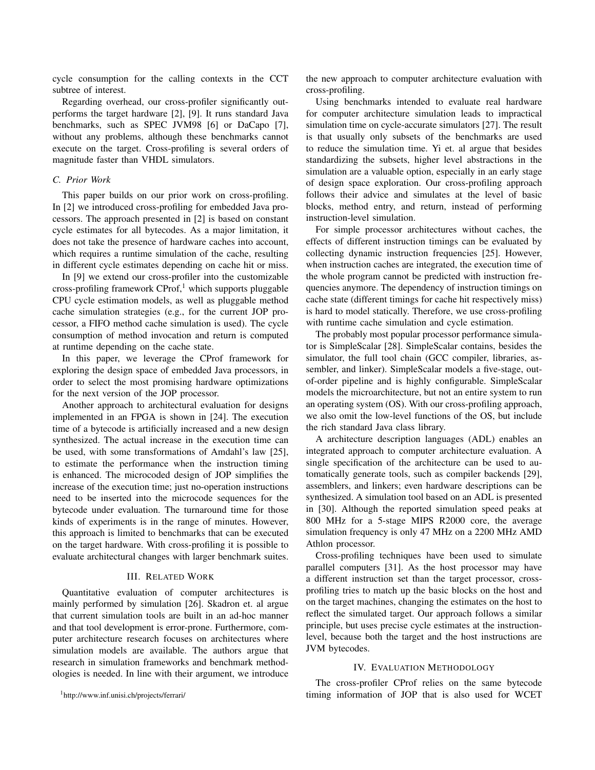cycle consumption for the calling contexts in the CCT subtree of interest.

Regarding overhead, our cross-profiler significantly outperforms the target hardware [2], [9]. It runs standard Java benchmarks, such as SPEC JVM98 [6] or DaCapo [7], without any problems, although these benchmarks cannot execute on the target. Cross-profiling is several orders of magnitude faster than VHDL simulators.

## *C. Prior Work*

This paper builds on our prior work on cross-profiling. In [2] we introduced cross-profiling for embedded Java processors. The approach presented in [2] is based on constant cycle estimates for all bytecodes. As a major limitation, it does not take the presence of hardware caches into account, which requires a runtime simulation of the cache, resulting in different cycle estimates depending on cache hit or miss.

In [9] we extend our cross-profiler into the customizable cross-profiling framework CProf,<sup>1</sup> which supports pluggable CPU cycle estimation models, as well as pluggable method cache simulation strategies (e.g., for the current JOP processor, a FIFO method cache simulation is used). The cycle consumption of method invocation and return is computed at runtime depending on the cache state.

In this paper, we leverage the CProf framework for exploring the design space of embedded Java processors, in order to select the most promising hardware optimizations for the next version of the JOP processor.

Another approach to architectural evaluation for designs implemented in an FPGA is shown in [24]. The execution time of a bytecode is artificially increased and a new design synthesized. The actual increase in the execution time can be used, with some transformations of Amdahl's law [25], to estimate the performance when the instruction timing is enhanced. The microcoded design of JOP simplifies the increase of the execution time; just no-operation instructions need to be inserted into the microcode sequences for the bytecode under evaluation. The turnaround time for those kinds of experiments is in the range of minutes. However, this approach is limited to benchmarks that can be executed on the target hardware. With cross-profiling it is possible to evaluate architectural changes with larger benchmark suites.

## III. RELATED WORK

Quantitative evaluation of computer architectures is mainly performed by simulation [26]. Skadron et. al argue that current simulation tools are built in an ad-hoc manner and that tool development is error-prone. Furthermore, computer architecture research focuses on architectures where simulation models are available. The authors argue that research in simulation frameworks and benchmark methodologies is needed. In line with their argument, we introduce the new approach to computer architecture evaluation with cross-profiling.

Using benchmarks intended to evaluate real hardware for computer architecture simulation leads to impractical simulation time on cycle-accurate simulators [27]. The result is that usually only subsets of the benchmarks are used to reduce the simulation time. Yi et. al argue that besides standardizing the subsets, higher level abstractions in the simulation are a valuable option, especially in an early stage of design space exploration. Our cross-profiling approach follows their advice and simulates at the level of basic blocks, method entry, and return, instead of performing instruction-level simulation.

For simple processor architectures without caches, the effects of different instruction timings can be evaluated by collecting dynamic instruction frequencies [25]. However, when instruction caches are integrated, the execution time of the whole program cannot be predicted with instruction frequencies anymore. The dependency of instruction timings on cache state (different timings for cache hit respectively miss) is hard to model statically. Therefore, we use cross-profiling with runtime cache simulation and cycle estimation.

The probably most popular processor performance simulator is SimpleScalar [28]. SimpleScalar contains, besides the simulator, the full tool chain (GCC compiler, libraries, assembler, and linker). SimpleScalar models a five-stage, outof-order pipeline and is highly configurable. SimpleScalar models the microarchitecture, but not an entire system to run an operating system (OS). With our cross-profiling approach, we also omit the low-level functions of the OS, but include the rich standard Java class library.

A architecture description languages (ADL) enables an integrated approach to computer architecture evaluation. A single specification of the architecture can be used to automatically generate tools, such as compiler backends [29], assemblers, and linkers; even hardware descriptions can be synthesized. A simulation tool based on an ADL is presented in [30]. Although the reported simulation speed peaks at 800 MHz for a 5-stage MIPS R2000 core, the average simulation frequency is only 47 MHz on a 2200 MHz AMD Athlon processor.

Cross-profiling techniques have been used to simulate parallel computers [31]. As the host processor may have a different instruction set than the target processor, crossprofiling tries to match up the basic blocks on the host and on the target machines, changing the estimates on the host to reflect the simulated target. Our approach follows a similar principle, but uses precise cycle estimates at the instructionlevel, because both the target and the host instructions are JVM bytecodes.

#### IV. EVALUATION METHODOLOGY

The cross-profiler CProf relies on the same bytecode timing information of JOP that is also used for WCET

<sup>1</sup>http://www.inf.unisi.ch/projects/ferrari/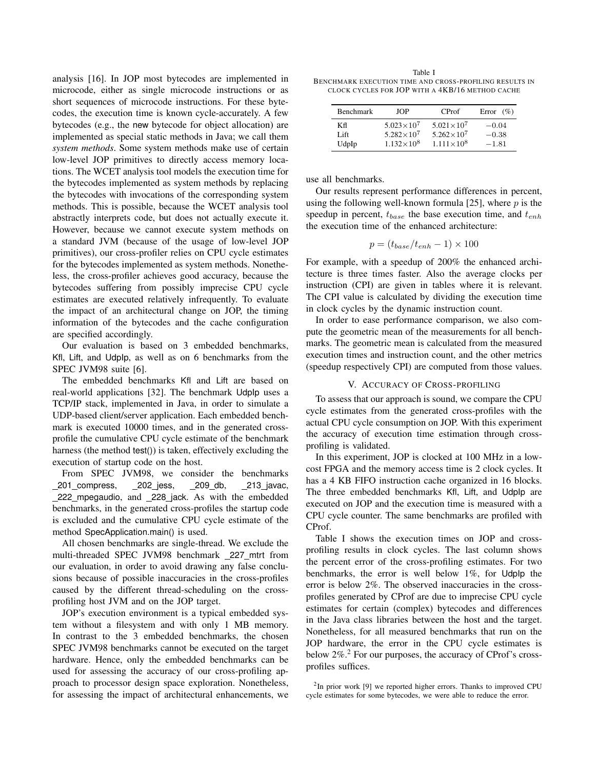analysis [16]. In JOP most bytecodes are implemented in microcode, either as single microcode instructions or as short sequences of microcode instructions. For these bytecodes, the execution time is known cycle-accurately. A few bytecodes (e.g., the new bytecode for object allocation) are implemented as special static methods in Java; we call them *system methods*. Some system methods make use of certain low-level JOP primitives to directly access memory locations. The WCET analysis tool models the execution time for the bytecodes implemented as system methods by replacing the bytecodes with invocations of the corresponding system methods. This is possible, because the WCET analysis tool abstractly interprets code, but does not actually execute it. However, because we cannot execute system methods on a standard JVM (because of the usage of low-level JOP primitives), our cross-profiler relies on CPU cycle estimates for the bytecodes implemented as system methods. Nonetheless, the cross-profiler achieves good accuracy, because the bytecodes suffering from possibly imprecise CPU cycle estimates are executed relatively infrequently. To evaluate the impact of an architectural change on JOP, the timing information of the bytecodes and the cache configuration are specified accordingly.

Our evaluation is based on 3 embedded benchmarks, Kfl, Lift, and UdpIp, as well as on 6 benchmarks from the SPEC JVM98 suite [6].

The embedded benchmarks Kfl and Lift are based on real-world applications [32]. The benchmark UdpIp uses a TCP/IP stack, implemented in Java, in order to simulate a UDP-based client/server application. Each embedded benchmark is executed 10000 times, and in the generated crossprofile the cumulative CPU cycle estimate of the benchmark harness (the method test()) is taken, effectively excluding the execution of startup code on the host.

From SPEC JVM98, we consider the benchmarks 201 compress, 202 jess, 209 db, 213 javac, \_222\_mpegaudio, and \_228\_jack. As with the embedded benchmarks, in the generated cross-profiles the startup code is excluded and the cumulative CPU cycle estimate of the method SpecApplication.main() is used.

All chosen benchmarks are single-thread. We exclude the multi-threaded SPEC JVM98 benchmark 227 mtrt from our evaluation, in order to avoid drawing any false conclusions because of possible inaccuracies in the cross-profiles caused by the different thread-scheduling on the crossprofiling host JVM and on the JOP target.

JOP's execution environment is a typical embedded system without a filesystem and with only 1 MB memory. In contrast to the 3 embedded benchmarks, the chosen SPEC JVM98 benchmarks cannot be executed on the target hardware. Hence, only the embedded benchmarks can be used for assessing the accuracy of our cross-profiling approach to processor design space exploration. Nonetheless, for assessing the impact of architectural enhancements, we

Table I BENCHMARK EXECUTION TIME AND CROSS-PROFILING RESULTS IN CLOCK CYCLES FOR JOP WITH A 4KB/16 METHOD CACHE

| Benchmark | <b>JOP</b>            | CProf                 | Error $(\% )$ |
|-----------|-----------------------|-----------------------|---------------|
| Кfl       | $5.023 \times 10^{7}$ | $5.021 \times 10^{7}$ | $-0.04$       |
| Lift      | $5.282\times10^{7}$   | $5.262 \times 10^{7}$ | $-0.38$       |
| UdpIp     | $1.132 \times 10^8$   | $1.111 \times 10^8$   | $-1.81$       |

use all benchmarks.

Our results represent performance differences in percent, using the following well-known formula [25], where  $p$  is the speedup in percent,  $t_{base}$  the base execution time, and  $t_{enh}$ the execution time of the enhanced architecture:

$$
p = (t_{base}/t_{enh} - 1) \times 100
$$

For example, with a speedup of 200% the enhanced architecture is three times faster. Also the average clocks per instruction (CPI) are given in tables where it is relevant. The CPI value is calculated by dividing the execution time in clock cycles by the dynamic instruction count.

In order to ease performance comparison, we also compute the geometric mean of the measurements for all benchmarks. The geometric mean is calculated from the measured execution times and instruction count, and the other metrics (speedup respectively CPI) are computed from those values.

### V. ACCURACY OF CROSS-PROFILING

To assess that our approach is sound, we compare the CPU cycle estimates from the generated cross-profiles with the actual CPU cycle consumption on JOP. With this experiment the accuracy of execution time estimation through crossprofiling is validated.

In this experiment, JOP is clocked at 100 MHz in a lowcost FPGA and the memory access time is 2 clock cycles. It has a 4 KB FIFO instruction cache organized in 16 blocks. The three embedded benchmarks Kfl, Lift, and UdpIp are executed on JOP and the execution time is measured with a CPU cycle counter. The same benchmarks are profiled with CProf.

Table I shows the execution times on JOP and crossprofiling results in clock cycles. The last column shows the percent error of the cross-profiling estimates. For two benchmarks, the error is well below 1%, for UdpIp the error is below 2%. The observed inaccuracies in the crossprofiles generated by CProf are due to imprecise CPU cycle estimates for certain (complex) bytecodes and differences in the Java class libraries between the host and the target. Nonetheless, for all measured benchmarks that run on the JOP hardware, the error in the CPU cycle estimates is below  $2\%$ <sup>2</sup>. For our purposes, the accuracy of CProf's crossprofiles suffices.

 $2$ In prior work [9] we reported higher errors. Thanks to improved CPU cycle estimates for some bytecodes, we were able to reduce the error.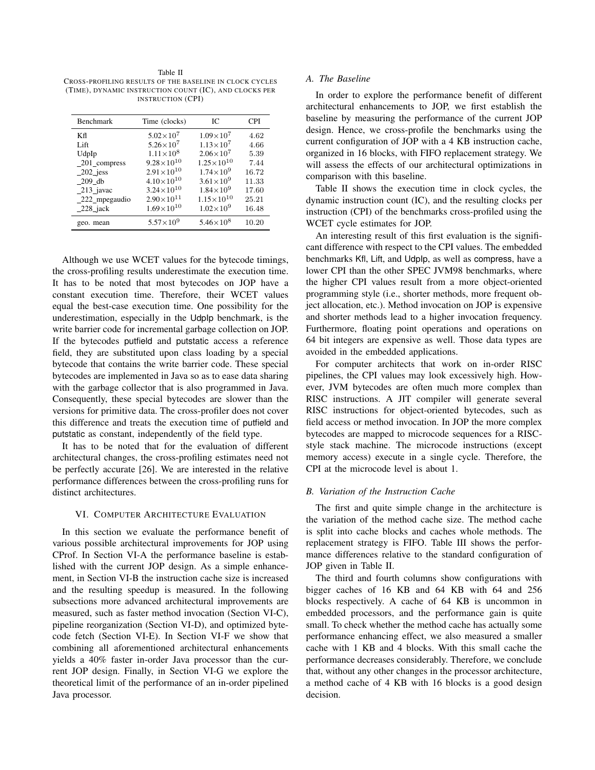Table II CROSS-PROFILING RESULTS OF THE BASELINE IN CLOCK CYCLES (TIME), DYNAMIC INSTRUCTION COUNT (IC), AND CLOCKS PER INSTRUCTION (CPI)

| <b>Benchmark</b>              | Time (clocks)         | IС                   | <b>CPI</b> |
|-------------------------------|-----------------------|----------------------|------------|
| Кfl                           | $5.02\times10^{7}$    | $1.09\times10^{7}$   | 4.62       |
| Lift                          | $5.26 \times 10^{7}$  | $1.13 \times 10^{7}$ | 4.66       |
| UdpIp                         | $1.11 \times 10^8$    | $2.06\times10^{7}$   | 5.39       |
| $\_\,201\_\,compress$         | $9.28\times10^{10}$   | $1.25\times10^{10}$  | 7.44       |
| $\frac{202 \text{ } }{}$ jess | $2.91\times10^{10}$   | $1.74 \times 10^{9}$ | 16.72      |
| 209 db                        | $4.10\times10^{10}$   | $3.61\times10^{9}$   | 11.33      |
| $\_\$ {213}\_\javac           | $3.24 \times 10^{10}$ | $1.84\times10^{9}$   | 17.60      |
| _222_mpegaudio                | $2.90\times10^{11}$   | $1.15\times10^{10}$  | 25.21      |
| $\_\,$ 228 $\_\,$ jack        | $1.69\times10^{10}$   | $1.02\times10^{9}$   | 16.48      |
| geo. mean                     | $5.57\times10^{9}$    | $5.46\times10^{8}$   | 10.20      |

Although we use WCET values for the bytecode timings, the cross-profiling results underestimate the execution time. It has to be noted that most bytecodes on JOP have a constant execution time. Therefore, their WCET values equal the best-case execution time. One possibility for the underestimation, especially in the UdpIp benchmark, is the write barrier code for incremental garbage collection on JOP. If the bytecodes putfield and putstatic access a reference field, they are substituted upon class loading by a special bytecode that contains the write barrier code. These special bytecodes are implemented in Java so as to ease data sharing with the garbage collector that is also programmed in Java. Consequently, these special bytecodes are slower than the versions for primitive data. The cross-profiler does not cover this difference and treats the execution time of putfield and putstatic as constant, independently of the field type.

It has to be noted that for the evaluation of different architectural changes, the cross-profiling estimates need not be perfectly accurate [26]. We are interested in the relative performance differences between the cross-profiling runs for distinct architectures.

## VI. COMPUTER ARCHITECTURE EVALUATION

In this section we evaluate the performance benefit of various possible architectural improvements for JOP using CProf. In Section VI-A the performance baseline is established with the current JOP design. As a simple enhancement, in Section VI-B the instruction cache size is increased and the resulting speedup is measured. In the following subsections more advanced architectural improvements are measured, such as faster method invocation (Section VI-C), pipeline reorganization (Section VI-D), and optimized bytecode fetch (Section VI-E). In Section VI-F we show that combining all aforementioned architectural enhancements yields a 40% faster in-order Java processor than the current JOP design. Finally, in Section VI-G we explore the theoretical limit of the performance of an in-order pipelined Java processor.

### *A. The Baseline*

In order to explore the performance benefit of different architectural enhancements to JOP, we first establish the baseline by measuring the performance of the current JOP design. Hence, we cross-profile the benchmarks using the current configuration of JOP with a 4 KB instruction cache, organized in 16 blocks, with FIFO replacement strategy. We will assess the effects of our architectural optimizations in comparison with this baseline.

Table II shows the execution time in clock cycles, the dynamic instruction count (IC), and the resulting clocks per instruction (CPI) of the benchmarks cross-profiled using the WCET cycle estimates for JOP.

An interesting result of this first evaluation is the significant difference with respect to the CPI values. The embedded benchmarks Kfl, Lift, and UdpIp, as well as compress, have a lower CPI than the other SPEC JVM98 benchmarks, where the higher CPI values result from a more object-oriented programming style (i.e., shorter methods, more frequent object allocation, etc.). Method invocation on JOP is expensive and shorter methods lead to a higher invocation frequency. Furthermore, floating point operations and operations on 64 bit integers are expensive as well. Those data types are avoided in the embedded applications.

For computer architects that work on in-order RISC pipelines, the CPI values may look excessively high. However, JVM bytecodes are often much more complex than RISC instructions. A JIT compiler will generate several RISC instructions for object-oriented bytecodes, such as field access or method invocation. In JOP the more complex bytecodes are mapped to microcode sequences for a RISCstyle stack machine. The microcode instructions (except memory access) execute in a single cycle. Therefore, the CPI at the microcode level is about 1.

# *B. Variation of the Instruction Cache*

The first and quite simple change in the architecture is the variation of the method cache size. The method cache is split into cache blocks and caches whole methods. The replacement strategy is FIFO. Table III shows the performance differences relative to the standard configuration of JOP given in Table II.

The third and fourth columns show configurations with bigger caches of 16 KB and 64 KB with 64 and 256 blocks respectively. A cache of 64 KB is uncommon in embedded processors, and the performance gain is quite small. To check whether the method cache has actually some performance enhancing effect, we also measured a smaller cache with 1 KB and 4 blocks. With this small cache the performance decreases considerably. Therefore, we conclude that, without any other changes in the processor architecture, a method cache of 4 KB with 16 blocks is a good design decision.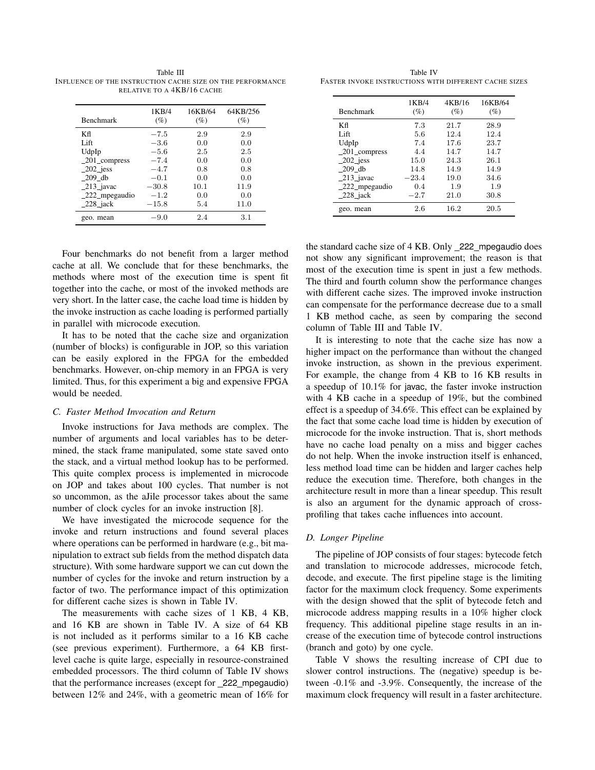Table III INFLUENCE OF THE INSTRUCTION CACHE SIZE ON THE PERFORMANCE RELATIVE TO A 4KB/16 CACHE

| <b>Benchmark</b> | 1KB/4<br>(%) | 16KB/64<br>(%) | 64KB/256<br>(%) |
|------------------|--------------|----------------|-----------------|
| Кfl              | $-7.5$       | 2.9            | 2.9             |
| Lift             | $-3.6$       | 0.0            | 0.0             |
| UdpIp            | $-5.6$       | 2.5            | 2.5             |
| $201$ compress   | $-7.4$       | 0.0            | 0.0             |
| 202 jess         | $-4.7$       | 0.8            | 0.8             |
| 209 db           | $-0.1$       | 0.0            | 0.0             |
| $213$ javac      | $-30.8$      | 10.1           | 11.9            |
| _222_mpegaudio   | $-1.2$       | 0.0            | 0.0             |
| $228$ jack       | $^{-15.8}$   | 5.4            | 11.0            |
| geo. mean        | -9.0         | 2.4            | 3.1             |

Four benchmarks do not benefit from a larger method cache at all. We conclude that for these benchmarks, the methods where most of the execution time is spent fit together into the cache, or most of the invoked methods are very short. In the latter case, the cache load time is hidden by the invoke instruction as cache loading is performed partially in parallel with microcode execution.

It has to be noted that the cache size and organization (number of blocks) is configurable in JOP, so this variation can be easily explored in the FPGA for the embedded benchmarks. However, on-chip memory in an FPGA is very limited. Thus, for this experiment a big and expensive FPGA would be needed.

### *C. Faster Method Invocation and Return*

Invoke instructions for Java methods are complex. The number of arguments and local variables has to be determined, the stack frame manipulated, some state saved onto the stack, and a virtual method lookup has to be performed. This quite complex process is implemented in microcode on JOP and takes about 100 cycles. That number is not so uncommon, as the aJile processor takes about the same number of clock cycles for an invoke instruction [8].

We have investigated the microcode sequence for the invoke and return instructions and found several places where operations can be performed in hardware (e.g., bit manipulation to extract sub fields from the method dispatch data structure). With some hardware support we can cut down the number of cycles for the invoke and return instruction by a factor of two. The performance impact of this optimization for different cache sizes is shown in Table IV.

The measurements with cache sizes of 1 KB, 4 KB, and 16 KB are shown in Table IV. A size of 64 KB is not included as it performs similar to a 16 KB cache (see previous experiment). Furthermore, a 64 KB firstlevel cache is quite large, especially in resource-constrained embedded processors. The third column of Table IV shows that the performance increases (except for 222 mpegaudio) between 12% and 24%, with a geometric mean of 16% for

Table IV FASTER INVOKE INSTRUCTIONS WITH DIFFERENT CACHE SIZES

| <b>Benchmark</b>              | 1KB/4<br>(%) | 4KB/16<br>(%) | 16KB/64<br>(%) |
|-------------------------------|--------------|---------------|----------------|
| Кfl                           | 7.3          | 21.7          | 28.9           |
| Lift                          | 5.6          | 12.4          | 12.4           |
| UdpIp                         | 7.4          | 17.6          | 23.7           |
| $\_\,201\_\,compress$         | 4.4          | 14.7          | 14.7           |
| $\frac{202 \text{ } }{}$ jess | 15.0         | 24.3          | 26.1           |
| $209$ db                      | 14.8         | 14.9          | 14.9           |
| 213 javac                     | $-23.4$      | 19.0          | 34.6           |
| _222_mpegaudio                | 0.4          | 1.9           | 1.9            |
| 228 jack                      | $-2.7$       | 21.0          | 30.8           |
| geo. mean                     | 2.6          | 16.2          | 20.5           |

the standard cache size of 4 KB. Only 222 mpegaudio does not show any significant improvement; the reason is that most of the execution time is spent in just a few methods. The third and fourth column show the performance changes with different cache sizes. The improved invoke instruction can compensate for the performance decrease due to a small 1 KB method cache, as seen by comparing the second column of Table III and Table IV.

It is interesting to note that the cache size has now a higher impact on the performance than without the changed invoke instruction, as shown in the previous experiment. For example, the change from 4 KB to 16 KB results in a speedup of 10.1% for javac, the faster invoke instruction with 4 KB cache in a speedup of 19%, but the combined effect is a speedup of 34.6%. This effect can be explained by the fact that some cache load time is hidden by execution of microcode for the invoke instruction. That is, short methods have no cache load penalty on a miss and bigger caches do not help. When the invoke instruction itself is enhanced, less method load time can be hidden and larger caches help reduce the execution time. Therefore, both changes in the architecture result in more than a linear speedup. This result is also an argument for the dynamic approach of crossprofiling that takes cache influences into account.

#### *D. Longer Pipeline*

The pipeline of JOP consists of four stages: bytecode fetch and translation to microcode addresses, microcode fetch, decode, and execute. The first pipeline stage is the limiting factor for the maximum clock frequency. Some experiments with the design showed that the split of bytecode fetch and microcode address mapping results in a 10% higher clock frequency. This additional pipeline stage results in an increase of the execution time of bytecode control instructions (branch and goto) by one cycle.

Table V shows the resulting increase of CPI due to slower control instructions. The (negative) speedup is between -0.1% and -3.9%. Consequently, the increase of the maximum clock frequency will result in a faster architecture.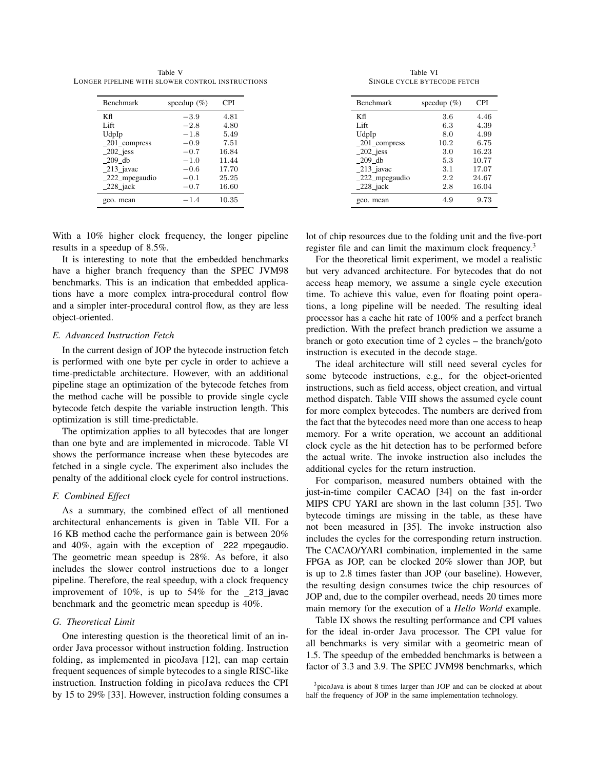Table V LONGER PIPELINE WITH SLOWER CONTROL INSTRUCTIONS

| <b>Benchmark</b>              | speedup $(\% )$ | <b>CPI</b> |
|-------------------------------|-----------------|------------|
| Кfl                           | $-3.9$          | 4.81       |
| Lift                          | $-2.8$          | 4.80       |
| UdpIp                         | $-1.8$          | 5.49       |
| $\_\,201\_\,compress$         | $-0.9$          | 7.51       |
| $\frac{202 \text{ } }{}$ jess | $-0.7$          | 16.84      |
| 209 db                        | $-1.0$          | 11.44      |
| 213 javac                     | $-0.6$          | 17.70      |
| 222 mpegaudio                 | $-0.1$          | 25.25      |
| $228$ jack                    | $-0.7$          | 16.60      |
| geo. mean                     | $-1.4$          | $10.35\,$  |

Table VI SINGLE CYCLE BYTECODE FETCH

| <b>Benchmark</b> | speedup $(\% )$ | <b>CPI</b> |
|------------------|-----------------|------------|
| Кfl              | 3.6             | 4.46       |
| Lift             | 6.3             | 4.39       |
| UdpIp            | 8.0             | 4.99       |
| $\_201$ compress | 10.2            | 6.75       |
| $202$ jess       | 3.0             | 16.23      |
| $209$ db         | 5.3             | 10.77      |
| 213 javac        | 3.1             | 17.07      |
| _222_mpegaudio   | 2.2             | 24.67      |
| 228 jack         | 2.8             | 16.04      |
| geo. mean        | 4.9             | 9.73       |

With a 10% higher clock frequency, the longer pipeline results in a speedup of 8.5%.

It is interesting to note that the embedded benchmarks have a higher branch frequency than the SPEC JVM98 benchmarks. This is an indication that embedded applications have a more complex intra-procedural control flow and a simpler inter-procedural control flow, as they are less object-oriented.

# *E. Advanced Instruction Fetch*

In the current design of JOP the bytecode instruction fetch is performed with one byte per cycle in order to achieve a time-predictable architecture. However, with an additional pipeline stage an optimization of the bytecode fetches from the method cache will be possible to provide single cycle bytecode fetch despite the variable instruction length. This optimization is still time-predictable.

The optimization applies to all bytecodes that are longer than one byte and are implemented in microcode. Table VI shows the performance increase when these bytecodes are fetched in a single cycle. The experiment also includes the penalty of the additional clock cycle for control instructions.

## *F. Combined Effect*

As a summary, the combined effect of all mentioned architectural enhancements is given in Table VII. For a 16 KB method cache the performance gain is between 20% and 40%, again with the exception of 222 mpegaudio. The geometric mean speedup is 28%. As before, it also includes the slower control instructions due to a longer pipeline. Therefore, the real speedup, with a clock frequency improvement of 10%, is up to 54% for the 213 javac benchmark and the geometric mean speedup is 40%.

# *G. Theoretical Limit*

One interesting question is the theoretical limit of an inorder Java processor without instruction folding. Instruction folding, as implemented in picoJava [12], can map certain frequent sequences of simple bytecodes to a single RISC-like instruction. Instruction folding in picoJava reduces the CPI by 15 to 29% [33]. However, instruction folding consumes a lot of chip resources due to the folding unit and the five-port register file and can limit the maximum clock frequency.<sup>3</sup>

For the theoretical limit experiment, we model a realistic but very advanced architecture. For bytecodes that do not access heap memory, we assume a single cycle execution time. To achieve this value, even for floating point operations, a long pipeline will be needed. The resulting ideal processor has a cache hit rate of 100% and a perfect branch prediction. With the prefect branch prediction we assume a branch or goto execution time of 2 cycles – the branch/goto instruction is executed in the decode stage.

The ideal architecture will still need several cycles for some bytecode instructions, e.g., for the object-oriented instructions, such as field access, object creation, and virtual method dispatch. Table VIII shows the assumed cycle count for more complex bytecodes. The numbers are derived from the fact that the bytecodes need more than one access to heap memory. For a write operation, we account an additional clock cycle as the hit detection has to be performed before the actual write. The invoke instruction also includes the additional cycles for the return instruction.

For comparison, measured numbers obtained with the just-in-time compiler CACAO [34] on the fast in-order MIPS CPU YARI are shown in the last column [35]. Two bytecode timings are missing in the table, as these have not been measured in [35]. The invoke instruction also includes the cycles for the corresponding return instruction. The CACAO/YARI combination, implemented in the same FPGA as JOP, can be clocked 20% slower than JOP, but is up to 2.8 times faster than JOP (our baseline). However, the resulting design consumes twice the chip resources of JOP and, due to the compiler overhead, needs 20 times more main memory for the execution of a *Hello World* example.

Table IX shows the resulting performance and CPI values for the ideal in-order Java processor. The CPI value for all benchmarks is very similar with a geometric mean of 1.5. The speedup of the embedded benchmarks is between a factor of 3.3 and 3.9. The SPEC JVM98 benchmarks, which

<sup>3</sup>picoJava is about 8 times larger than JOP and can be clocked at about half the frequency of JOP in the same implementation technology.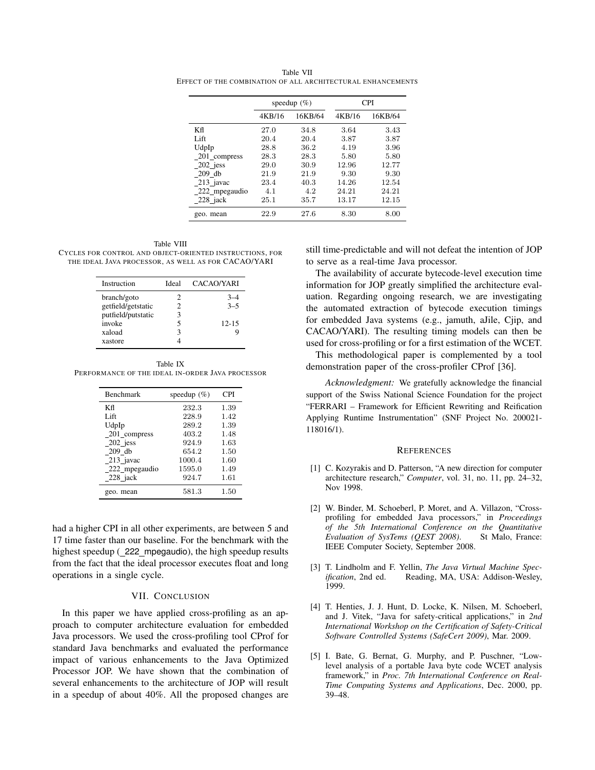|                                                             | Table VII |  |
|-------------------------------------------------------------|-----------|--|
| EFFECT OF THE COMBINATION OF ALL ARCHITECTURAL ENHANCEMENTS |           |  |

|                               | speedup $(\% )$ |         |        | <b>CPI</b> |
|-------------------------------|-----------------|---------|--------|------------|
|                               | 4KB/16          | 16KB/64 | 4KB/16 | 16KB/64    |
| Кfl                           | 27.0            | 34.8    | 3.64   | 3.43       |
| Lift                          | 20.4            | 20.4    | 3.87   | 3.87       |
| UdpIp                         | 28.8            | 36.2    | 4.19   | 3.96       |
| $\_\,201\_\,compress$         | 28.3            | 28.3    | 5.80   | 5.80       |
| $\frac{202 \text{ } }{}$ jess | 29.0            | 30.9    | 12.96  | 12.77      |
| 209 db                        | 21.9            | 21.9    | 9.30   | 9.30       |
| $\_\$ {213}\_\javac           | 23.4            | 40.3    | 14.26  | 12.54      |
| _222_mpegaudio                | 4.1             | 4.2     | 24.21  | 24.21      |
| $228$ jack                    | 25.1            | 35.7    | 13.17  | 12.15      |
| geo. mean                     | 22.9            | 27.6    | 8.30   | 8.00       |

Table VIII CYCLES FOR CONTROL AND OBJECT-ORIENTED INSTRUCTIONS, FOR THE IDEAL JAVA PROCESSOR, AS WELL AS FOR CACAO/YARI

| Instruction        | Ideal | CACAO/YARI |
|--------------------|-------|------------|
| branch/goto        | 2     | 3–4        |
| getfield/getstatic | 2     | $3 - 5$    |
| putfield/putstatic | 3     |            |
| invoke             | 5     | $12 - 15$  |
| xaload             | 3     |            |
| xastore            |       |            |

Table IX PERFORMANCE OF THE IDEAL IN-ORDER JAVA PROCESSOR

| <b>Benchmark</b>     | speedup $(\% )$ | <b>CPI</b> |
|----------------------|-----------------|------------|
| Кfl                  | 232.3           | 1.39       |
| Lift                 | 228.9           | 1.42       |
| UdpIp                | 289.2           | 1.39       |
| $201$ _compress      | 403.2           | 1.48       |
| $\frac{202}{1}$ jess | 924.9           | 1.63       |
| $209$ db             | 654.2           | 1.50       |
| $\_\$ {213}\_\javac  | 1000.4          | 1.60       |
| _222_mpegaudio       | 1595.0          | 1.49       |
| $228$ jack           | 924.7           | 1.61       |
| geo. mean            | 581.3           | 1.50       |

had a higher CPI in all other experiments, are between 5 and 17 time faster than our baseline. For the benchmark with the highest speedup ( 222 mpegaudio), the high speedup results from the fact that the ideal processor executes float and long operations in a single cycle.

# VII. CONCLUSION

In this paper we have applied cross-profiling as an approach to computer architecture evaluation for embedded Java processors. We used the cross-profiling tool CProf for standard Java benchmarks and evaluated the performance impact of various enhancements to the Java Optimized Processor JOP. We have shown that the combination of several enhancements to the architecture of JOP will result in a speedup of about 40%. All the proposed changes are still time-predictable and will not defeat the intention of JOP to serve as a real-time Java processor.

The availability of accurate bytecode-level execution time information for JOP greatly simplified the architecture evaluation. Regarding ongoing research, we are investigating the automated extraction of bytecode execution timings for embedded Java systems (e.g., jamuth, aJile, Cjip, and CACAO/YARI). The resulting timing models can then be used for cross-profiling or for a first estimation of the WCET.

This methodological paper is complemented by a tool demonstration paper of the cross-profiler CProf [36].

*Acknowledgment:* We gratefully acknowledge the financial support of the Swiss National Science Foundation for the project "FERRARI – Framework for Efficient Rewriting and Reification Applying Runtime Instrumentation" (SNF Project No. 200021- 118016/1).

#### **REFERENCES**

- [1] C. Kozyrakis and D. Patterson, "A new direction for computer architecture research," *Computer*, vol. 31, no. 11, pp. 24–32, Nov 1998.
- [2] W. Binder, M. Schoeberl, P. Moret, and A. Villazon, "Crossprofiling for embedded Java processors," in *Proceedings of the 5th International Conference on the Quantitative Evaluation of SysTems (QEST 2008)*. St Malo, France: IEEE Computer Society, September 2008.
- [3] T. Lindholm and F. Yellin, *The Java Virtual Machine Specification*, 2nd ed. Reading, MA, USA: Addison-Wesley, 1999.
- [4] T. Henties, J. J. Hunt, D. Locke, K. Nilsen, M. Schoeberl, and J. Vitek, "Java for safety-critical applications," in *2nd International Workshop on the Certification of Safety-Critical Software Controlled Systems (SafeCert 2009)*, Mar. 2009.
- [5] I. Bate, G. Bernat, G. Murphy, and P. Puschner, "Lowlevel analysis of a portable Java byte code WCET analysis framework," in *Proc. 7th International Conference on Real-Time Computing Systems and Applications*, Dec. 2000, pp. 39–48.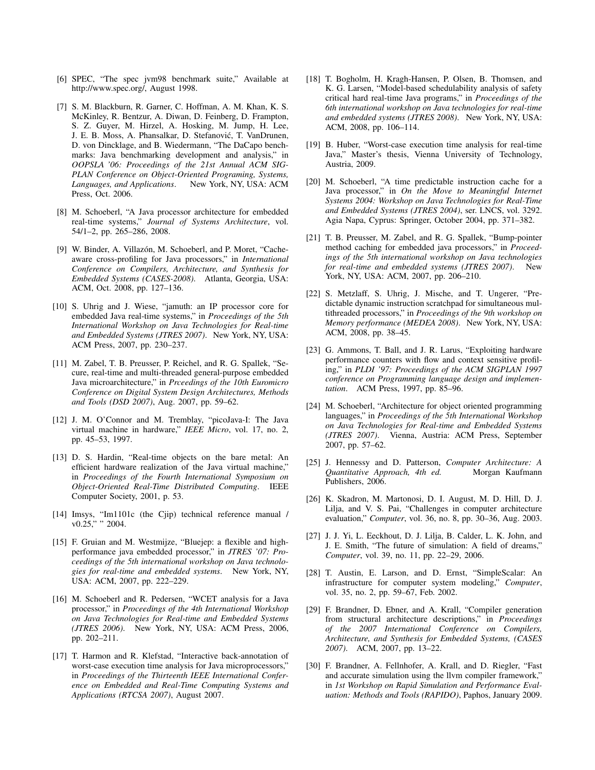- [6] SPEC, "The spec jvm98 benchmark suite," Available at http://www.spec.org/, August 1998.
- [7] S. M. Blackburn, R. Garner, C. Hoffman, A. M. Khan, K. S. McKinley, R. Bentzur, A. Diwan, D. Feinberg, D. Frampton, S. Z. Guyer, M. Hirzel, A. Hosking, M. Jump, H. Lee, J. E. B. Moss, A. Phansalkar, D. Stefanovic, T. VanDrunen, ´ D. von Dincklage, and B. Wiedermann, "The DaCapo benchmarks: Java benchmarking development and analysis," in *OOPSLA '06: Proceedings of the 21st Annual ACM SIG-PLAN Conference on Object-Oriented Programing, Systems, Languages, and Applications*. New York, NY, USA: ACM Press, Oct. 2006.
- [8] M. Schoeberl, "A Java processor architecture for embedded real-time systems," *Journal of Systems Architecture*, vol. 54/1–2, pp. 265–286, 2008.
- [9] W. Binder, A. Villazón, M. Schoeberl, and P. Moret, "Cacheaware cross-profiling for Java processors," in *International Conference on Compilers, Architecture, and Synthesis for Embedded Systems (CASES-2008)*. Atlanta, Georgia, USA: ACM, Oct. 2008, pp. 127–136.
- [10] S. Uhrig and J. Wiese, "jamuth: an IP processor core for embedded Java real-time systems," in *Proceedings of the 5th International Workshop on Java Technologies for Real-time and Embedded Systems (JTRES 2007)*. New York, NY, USA: ACM Press, 2007, pp. 230–237.
- [11] M. Zabel, T. B. Preusser, P. Reichel, and R. G. Spallek, "Secure, real-time and multi-threaded general-purpose embedded Java microarchitecture," in *Prceedings of the 10th Euromicro Conference on Digital System Design Architectures, Methods and Tools (DSD 2007)*, Aug. 2007, pp. 59–62.
- [12] J. M. O'Connor and M. Tremblay, "picoJava-I: The Java virtual machine in hardware," *IEEE Micro*, vol. 17, no. 2, pp. 45–53, 1997.
- [13] D. S. Hardin, "Real-time objects on the bare metal: An efficient hardware realization of the Java virtual machine," in *Proceedings of the Fourth International Symposium on Object-Oriented Real-Time Distributed Computing*. IEEE Computer Society, 2001, p. 53.
- [14] Imsys, "Im1101c (the Cjip) technical reference manual / v0.25," " 2004.
- [15] F. Gruian and M. Westmijze, "Bluejep: a flexible and highperformance java embedded processor," in *JTRES '07: Proceedings of the 5th international workshop on Java technologies for real-time and embedded systems*. New York, NY, USA: ACM, 2007, pp. 222–229.
- [16] M. Schoeberl and R. Pedersen, "WCET analysis for a Java processor," in *Proceedings of the 4th International Workshop on Java Technologies for Real-time and Embedded Systems (JTRES 2006)*. New York, NY, USA: ACM Press, 2006, pp. 202–211.
- [17] T. Harmon and R. Klefstad, "Interactive back-annotation of worst-case execution time analysis for Java microprocessors," in *Proceedings of the Thirteenth IEEE International Conference on Embedded and Real-Time Computing Systems and Applications (RTCSA 2007)*, August 2007.
- [18] T. Bogholm, H. Kragh-Hansen, P. Olsen, B. Thomsen, and K. G. Larsen, "Model-based schedulability analysis of safety critical hard real-time Java programs," in *Proceedings of the 6th international workshop on Java technologies for real-time and embedded systems (JTRES 2008)*. New York, NY, USA: ACM, 2008, pp. 106–114.
- [19] B. Huber, "Worst-case execution time analysis for real-time Java," Master's thesis, Vienna University of Technology, Austria, 2009.
- [20] M. Schoeberl, "A time predictable instruction cache for a Java processor," in *On the Move to Meaningful Internet Systems 2004: Workshop on Java Technologies for Real-Time and Embedded Systems (JTRES 2004)*, ser. LNCS, vol. 3292. Agia Napa, Cyprus: Springer, October 2004, pp. 371–382.
- [21] T. B. Preusser, M. Zabel, and R. G. Spallek, "Bump-pointer method caching for embedded java processors," in *Proceedings of the 5th international workshop on Java technologies for real-time and embedded systems (JTRES 2007)*. New York, NY, USA: ACM, 2007, pp. 206–210.
- [22] S. Metzlaff, S. Uhrig, J. Mische, and T. Ungerer, "Predictable dynamic instruction scratchpad for simultaneous multithreaded processors," in *Proceedings of the 9th workshop on Memory performance (MEDEA 2008)*. New York, NY, USA: ACM, 2008, pp. 38–45.
- [23] G. Ammons, T. Ball, and J. R. Larus, "Exploiting hardware performance counters with flow and context sensitive profiling," in *PLDI '97: Proceedings of the ACM SIGPLAN 1997 conference on Programming language design and implementation*. ACM Press, 1997, pp. 85–96.
- [24] M. Schoeberl, "Architecture for object oriented programming languages," in *Proceedings of the 5th International Workshop on Java Technologies for Real-time and Embedded Systems (JTRES 2007)*. Vienna, Austria: ACM Press, September 2007, pp. 57–62.
- [25] J. Hennessy and D. Patterson, *Computer Architecture: A Quantitative Approach, 4th ed.* Morgan Kaufmann Publishers, 2006.
- [26] K. Skadron, M. Martonosi, D. I. August, M. D. Hill, D. J. Lilja, and V. S. Pai, "Challenges in computer architecture evaluation," *Computer*, vol. 36, no. 8, pp. 30–36, Aug. 2003.
- [27] J. J. Yi, L. Eeckhout, D. J. Lilja, B. Calder, L. K. John, and J. E. Smith, "The future of simulation: A field of dreams," *Computer*, vol. 39, no. 11, pp. 22–29, 2006.
- [28] T. Austin, E. Larson, and D. Ernst, "SimpleScalar: An infrastructure for computer system modeling," *Computer*, vol. 35, no. 2, pp. 59–67, Feb. 2002.
- [29] F. Brandner, D. Ebner, and A. Krall, "Compiler generation from structural architecture descriptions," in *Proceedings of the 2007 International Conference on Compilers, Architecture, and Synthesis for Embedded Systems, (CASES 2007)*. ACM, 2007, pp. 13–22.
- [30] F. Brandner, A. Fellnhofer, A. Krall, and D. Riegler, "Fast and accurate simulation using the llvm compiler framework," in *1st Workshop on Rapid Simulation and Performance Evaluation: Methods and Tools (RAPIDO)*, Paphos, January 2009.